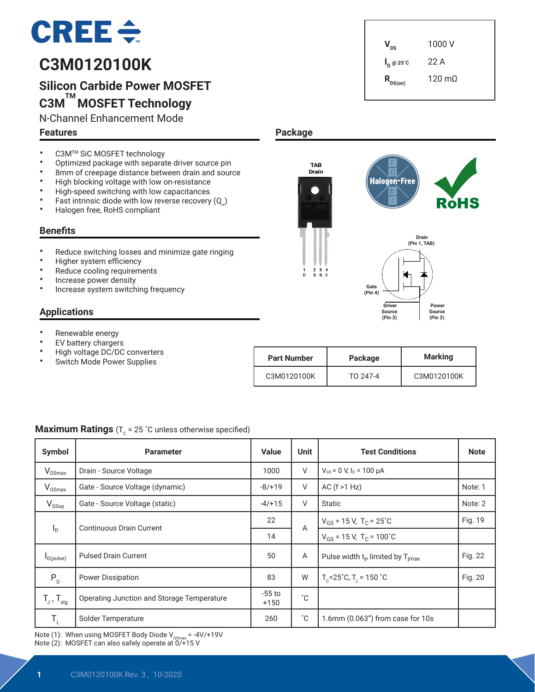# $CREE \div$

# **C3M0120100K**

# **Silicon Carbide Power MOSFET C3M TM MOSFET Technology**

N-Channel Enhancement Mode

#### **Features**

 $V_{\text{ns}}$  1000 V **I <sup>D</sup> @ 25˚C** 22 A  $R_{DS(on)}$  120 mΩ

 **Drain (Pin 1, TAB)**

 **Power Source (Pin 2)**

RòHS

- C3M<sup>TM</sup> SiC MOSFET technology<br>• Optimized package with conaral
- Optimized package with separate driver source pin<br>• 8mm of creenage distance between drain and sour
- 8mm of creepage distance between drain and source<br>• High blocking voltage with low op-resistance
- High blocking voltage with low on-resistance<br>• High apood quitabing with low oppositences
- High-speed switching with low capacitances<br>• Fast intrinsic diade with low reverse resevery
- Fast intrinsic diode with low reverse recovery  $(Q_n)$ <br>• Halogen free BoHS complient
- Halogen free, RoHS compliant

#### **Benefits**

- Reduce switching losses and minimize gate ringing
- Higher system efficiency
- Reduce cooling requirements
- Increase power density
- Increase system switching frequency

## **Applications**

- Renewable energy
- EV battery chargers<br>• High voltage DC/DC
- High voltage DC/DC converters
- Switch Mode Power Supplies

| <b>Part Number</b> | Package  | <b>Marking</b> |  |
|--------------------|----------|----------------|--|
| C3M0120100K        | TO 247-4 | C3M0120100K    |  |

 **Driver Source (Pin 3)**

**Halogen-Free** 

**Gate (Pin 4)**

| Symbol                                         | <b>Parameter</b>                           | <b>Value</b>       | <b>Unit</b> | <b>Test Conditions</b>                              | <b>Note</b> |
|------------------------------------------------|--------------------------------------------|--------------------|-------------|-----------------------------------------------------|-------------|
| $V_{DSmax}$                                    | Drain - Source Voltage                     | 1000               | V           | $V_{GS}$ = 0 V, $I_D$ = 100 µA                      |             |
| $V_{GSmax}$                                    | Gate - Source Voltage (dynamic)            | $-8/+19$           | V           | AC $(f > 1 Hz)$                                     | Note: 1     |
| $V_{GSop}$                                     | Gate - Source Voltage (static)             | $-4/+15$           | $\vee$      | Static                                              | Note: 2     |
| <b>Continuous Drain Current</b><br>$I_{\rm D}$ |                                            | 22                 | A           | $V_{GS}$ = 15 V, T <sub>C</sub> = 25 <sup>°</sup> C | Fig. 19     |
|                                                |                                            | 14                 |             | $V_{GS}$ = 15 V, T <sub>C</sub> = 100°C             |             |
| $I_{D(pulse)}$                                 | <b>Pulsed Drain Current</b>                | 50                 | Α           | Pulse width $t_P$ limited by $T_{\text{imax}}$      | Fig. 22     |
| $P_{D}$                                        | <b>Power Dissipation</b>                   | 83                 | W           | $T_c = 25^\circ C$ , $T_1 = 150^\circ C$            | Fig. 20     |
| $T_{J}$ , $T_{\text{stg}}$                     | Operating Junction and Storage Temperature | $-55$ to<br>$+150$ | °С          |                                                     |             |
| $\mathsf{T}_{\scriptscriptstyle\mathsf{L}}$    | Solder Temperature                         | 260                | $^{\circ}C$ | 1.6mm (0.063") from case for 10s                    |             |

**Package**

**TAB Drain** 

234<br>SSG

Note (1): When using MOSFET Body Diode  $V_{GSmax} = -4V/+19V$ Note (2): MOSFET can also safely operate at  $\overline{0/+}15$  V

## **Maximum Ratings**  $(T_c = 25 \degree C \text{ unless otherwise specified})$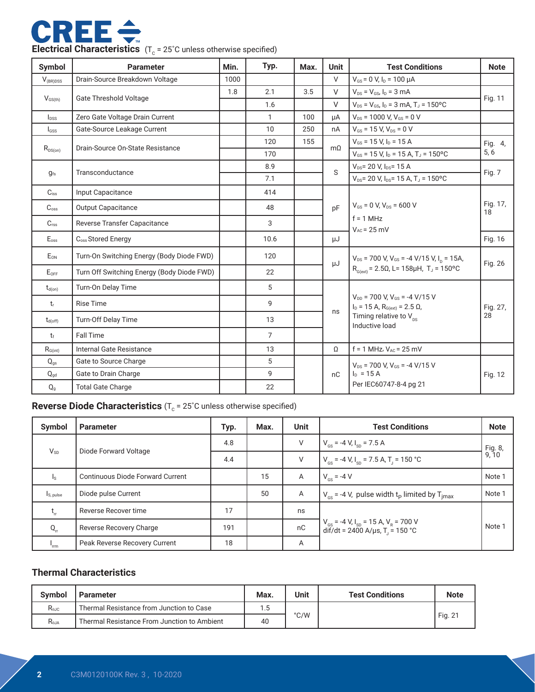

| Symbol             | <b>Parameter</b>                           | Min. | Typ.           | Max. | <b>Unit</b>                                                                | <b>Test Conditions</b>                                                                                                                       | <b>Note</b>    |
|--------------------|--------------------------------------------|------|----------------|------|----------------------------------------------------------------------------|----------------------------------------------------------------------------------------------------------------------------------------------|----------------|
| $V_{(BR)DSS}$      | Drain-Source Breakdown Voltage             | 1000 |                |      | $\vee$                                                                     | $V_{GS}$ = 0 V, $I_D$ = 100 $\mu$ A                                                                                                          |                |
|                    | <b>Gate Threshold Voltage</b>              | 1.8  | 2.1            | 3.5  | $\vee$                                                                     | $V_{DS} = V_{GS}$ , $I_D = 3$ mA                                                                                                             |                |
| $V_{GS(th)}$       |                                            |      | 1.6            |      | V                                                                          | $V_{DS} = V_{GS}$ , $I_D = 3$ mA, $T_J = 150$ °C                                                                                             | Fig. 11        |
| $I_{DSS}$          | Zero Gate Voltage Drain Current            |      | $\mathbf{1}$   | 100  | μA                                                                         | $V_{DS}$ = 1000 V, $V_{GS}$ = 0 V                                                                                                            |                |
| I <sub>GSS</sub>   | Gate-Source Leakage Current                |      | 10             | 250  | nA                                                                         | $V_{GS}$ = 15 V, $V_{DS}$ = 0 V                                                                                                              |                |
|                    | Drain-Source On-State Resistance           |      | 120            | 155  | $m\Omega$                                                                  | $V_{GS}$ = 15 V, $I_D$ = 15 A                                                                                                                | Fig. 4,        |
| $R_{DS(on)}$       |                                            |      | 170            |      |                                                                            | $V_{GS}$ = 15 V, $I_D$ = 15 A, T <sub>J</sub> = 150 °C                                                                                       | 5, 6           |
| $g_{fs}$           | Transconductance                           |      | 8.9            |      | S                                                                          | V <sub>DS</sub> = 20 V, I <sub>DS</sub> = 15 A                                                                                               | Fig. 7         |
|                    |                                            |      | 7.1            |      |                                                                            | $V_{DS}$ = 20 V, I <sub>DS</sub> = 15 A, T <sub>J</sub> = 150 °C                                                                             |                |
| $C$ <sub>iss</sub> | Input Capacitance                          |      | 414            |      |                                                                            |                                                                                                                                              |                |
| $C_{\rm oss}$      | <b>Output Capacitance</b>                  | 48   |                | pF   | $V_{GS}$ = 0 V, $V_{DS}$ = 600 V                                           | Fig. 17,<br>18                                                                                                                               |                |
| $C_{\text{rss}}$   | Reverse Transfer Capacitance               |      | 3              |      |                                                                            | $f = 1 MHz$<br>$V_{AC}$ = 25 mV                                                                                                              |                |
| $E_{\text{oss}}$   | C <sub>oss</sub> Stored Energy             |      | 10.6           |      | μJ                                                                         |                                                                                                                                              | Fig. 16        |
| EON                | Turn-On Switching Energy (Body Diode FWD)  |      | 120            |      | $V_{DS}$ = 700 V, V <sub>GS</sub> = -4 V/15 V, I <sub>D</sub> = 15A,<br>μJ |                                                                                                                                              | Fig. 26        |
| $E_{OFF}$          | Turn Off Switching Energy (Body Diode FWD) |      | 22             |      |                                                                            | $R_{G(xt)} = 2.5\Omega$ , L= 158µH, T <sub>J</sub> = 150°C                                                                                   |                |
| $t_{d(on)}$        | Turn-On Delay Time                         |      | 5              |      |                                                                            |                                                                                                                                              |                |
| t.                 | <b>Rise Time</b>                           |      | 9              |      |                                                                            | $V_{DD}$ = 700 V, $V_{GS}$ = -4 V/15 V<br>$I_D = 15 A$ , $R_{G(ext)} = 2.5 \Omega$ ,<br>Timing relative to $V_{\text{nc}}$<br>Inductive load | Fig. 27,<br>28 |
| $t_{d(off)}$       | Turn-Off Delay Time                        |      | 13             |      | ns                                                                         |                                                                                                                                              |                |
| $t_{\rm f}$        | <b>Fall Time</b>                           |      | $\overline{7}$ |      |                                                                            |                                                                                                                                              |                |
| $R_{G(int)}$       | Internal Gate Resistance                   |      | 13             |      | $\Omega$                                                                   | $f = 1$ MHz, $V_{AC} = 25$ mV                                                                                                                |                |
| $Q_{gs}$           | Gate to Source Charge                      |      | 5              |      |                                                                            | $V_{DS}$ = 700 V, $V_{GS}$ = -4 V/15 V                                                                                                       |                |
| $Q_{gd}$           | Gate to Drain Charge                       |      | 9              |      | nC                                                                         | $I_{D} = 15 A$                                                                                                                               | Fig. 12        |
| Q <sub>g</sub>     | <b>Total Gate Charge</b>                   |      | 22             |      |                                                                            | Per IEC60747-8-4 pg 21                                                                                                                       |                |

# **Reverse Diode Characteristics** (T<sub>c</sub> = 25°C unless otherwise specified)

| Symbol                | <b>Parameter</b>                        | Typ. | Max. | <b>Unit</b>    | <b>Test Conditions</b>                                                                                         | <b>Note</b>      |
|-----------------------|-----------------------------------------|------|------|----------------|----------------------------------------------------------------------------------------------------------------|------------------|
|                       | $V_{SD}$<br>Diode Forward Voltage       | 4.8  |      | V              | $V_{\text{cs}}$ = -4 V, I <sub>sp</sub> = 7.5 A                                                                | Fig. 8,<br>9, 10 |
|                       |                                         | 4.4  |      | V              | $V_{\text{cs}}$ = -4 V, I <sub>sp</sub> = 7.5 A, T <sub>j</sub> = 150 °C                                       |                  |
| ls.                   | <b>Continuous Diode Forward Current</b> |      | 15   | $\overline{A}$ | $V_{\text{es}} = -4 V$                                                                                         | Note 1           |
| I <sub>S, pulse</sub> | Diode pulse Current                     |      | 50   | A              | $V_{\text{cs}}$ = -4 V, pulse width t <sub>p</sub> limited by T <sub>imax</sub>                                | Note 1           |
| $t_{rr}$              | Reverse Recover time                    | 17   |      | ns             |                                                                                                                |                  |
| $Q_{rr}$              | Reverse Recovery Charge                 | 191  |      | nC             | $V_{cs}$ = -4 V, I <sub>SD</sub> = 15 A, V <sub>R</sub> = 700 V<br>dif/dt = 2400 A/µs, T <sub>J</sub> = 150 °C | Note 1           |
| 'rrm                  | Peak Reverse Recovery Current           | 18   |      | Α              |                                                                                                                |                  |

#### **Thermal Characteristics**

| <b>Symbol</b>                                         | <b>Parameter</b>                            | Max. | Unit          | <b>Test Conditions</b> | <b>Note</b> |
|-------------------------------------------------------|---------------------------------------------|------|---------------|------------------------|-------------|
| Thermal Resistance from Junction to Case<br>$R_{0JC}$ |                                             | 1.5  |               |                        |             |
| $R_{\theta$ ja                                        | Thermal Resistance From Junction to Ambient | 40   | $\degree$ C/W |                        | Fig. 21     |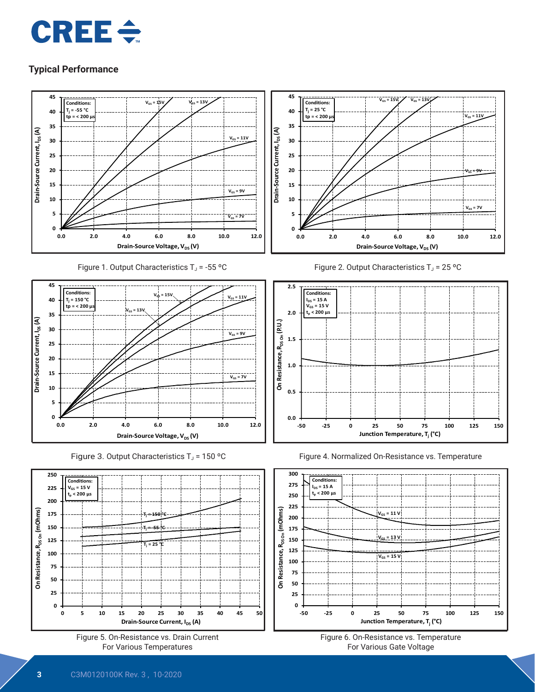



Figure 1. Output Characteristics  $T_J = -55$  °C















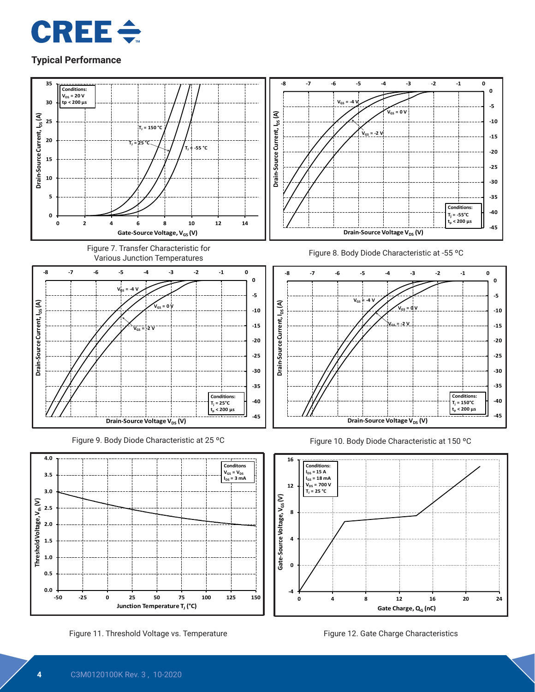



Figure 11. Threshold Voltage vs. Temperature Figure 12. Gate Charge Characteristics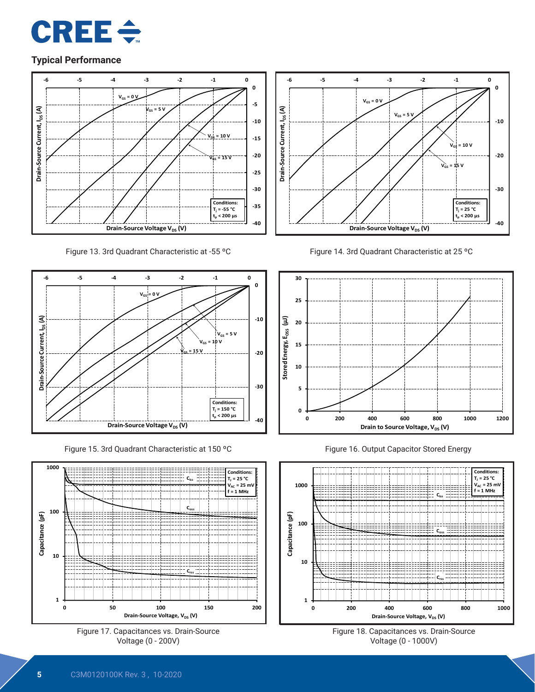





Figure 15. 3rd Quadrant Characteristic at 150 ºC











Figure 16. Output Capacitor Stored Energy



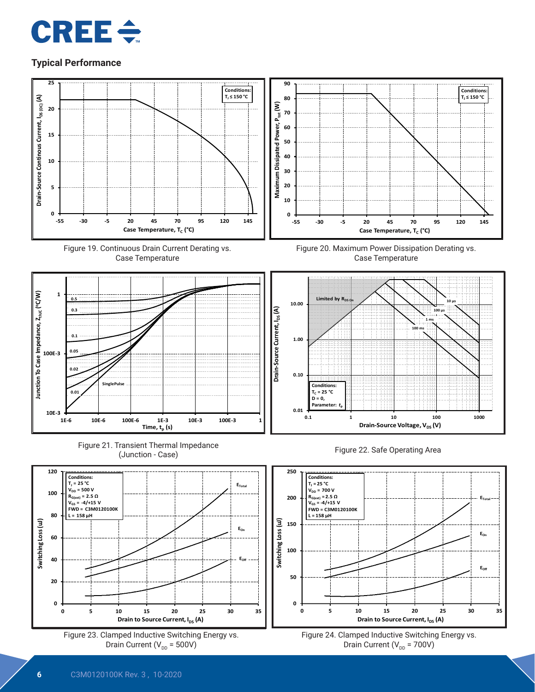















Figure 20. Maximum Power Dissipation Derating vs. Case Temperature







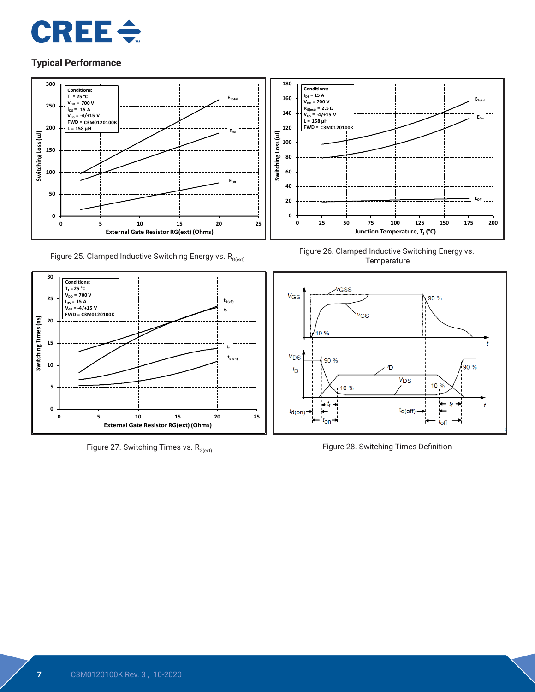



Figure 25. Clamped Inductive Switching Energy vs.  $R_{G(\text{ext})}$ 



Figure 27. Switching Times vs.  $R_{G(ext)}$ 



Figure 26. Clamped Inductive Switching Energy vs. **Temperature** 



Figure 28. Switching Times Definition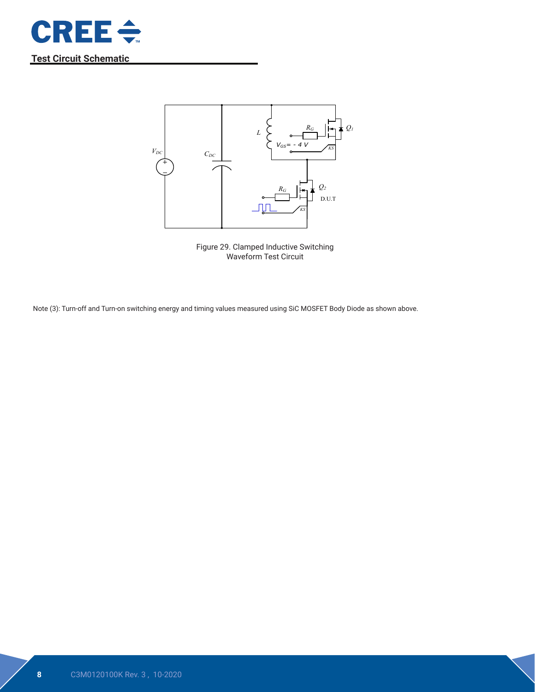

**Test Circuit Schematic**



Figure 29. Clamped Inductive Switching Waveform Test Circuit

Note (3): Turn-off and Turn-on switching energy and timing values measured using SiC MOSFET Body Diode as shown above.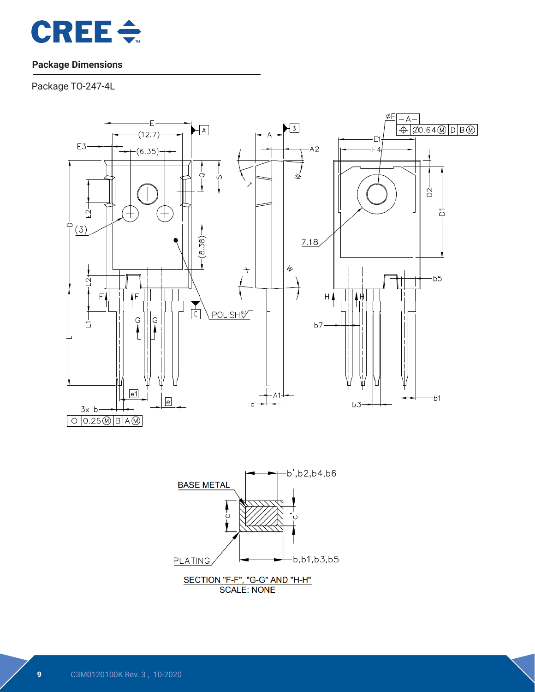

# **Package Dimensions**

Package TO-247-4L



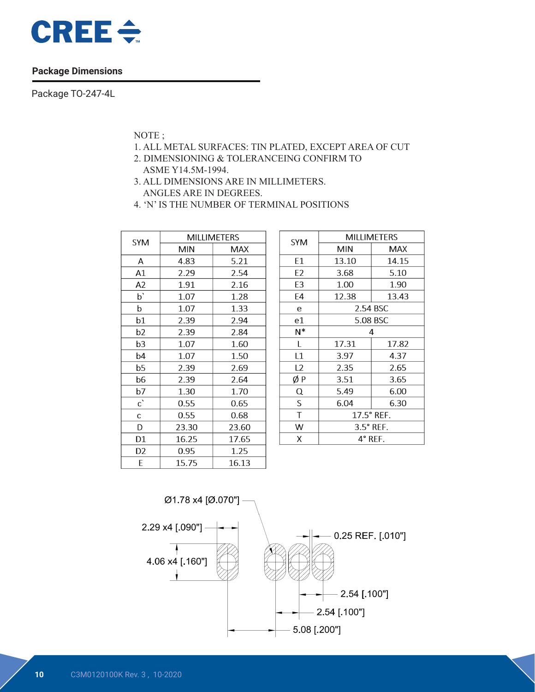

#### **Package Dimensions**

Package TO-247-4L

NOTE ;

- 1. ALL METAL SURFACES: TIN PLATED, EXCEPT AREA OF CUT
- 2. DIMENSIONING & TOLERANCEING CONFIRM TO ASME Y14.5M-1994.
- 3. ALL DIMENSIONS ARE IN MILLIMETERS. ANGLES ARE IN DEGREES.
- 4. 'N' IS THE NUMBER OF TERMINAL POSITIONS

| <b>SYM</b> | <b>MILLIMETERS</b> |       |  |  |  |
|------------|--------------------|-------|--|--|--|
|            | <b>MIN</b>         | MAX   |  |  |  |
| А          | 4.83               | 5.21  |  |  |  |
| A1         | 2.29               | 2.54  |  |  |  |
| A2         | 1.91               | 2.16  |  |  |  |
| p,         | 1.07               | 1.28  |  |  |  |
| þ          | 1.07               | 1.33  |  |  |  |
| b1         | 2.39               | 2.94  |  |  |  |
| b2         | 2.39               | 2.84  |  |  |  |
| b3         | 1.07               | 1.60  |  |  |  |
| b4         | 1.07               | 1.50  |  |  |  |
| b5         | 2.39               | 2.69  |  |  |  |
| b6         | 2.39               | 2.64  |  |  |  |
| b7         | 1.30               | 1.70  |  |  |  |
| c,         | 0.55               | 0.65  |  |  |  |
| C          | 0.55               | 0.68  |  |  |  |
| D          | 23.30              | 23.60 |  |  |  |
| D1         | 16.25              | 17.65 |  |  |  |
| D2         | 0.95               | 1.25  |  |  |  |
| E          | 15.75              | 16.13 |  |  |  |

| <b>SYM</b>     | <b>MILLIMETERS</b> |          |  |  |  |
|----------------|--------------------|----------|--|--|--|
|                | <b>MIN</b>         | MAX      |  |  |  |
| E1             | 13.10              | 14.15    |  |  |  |
| E2             | 3.68               | 5.10     |  |  |  |
| E <sub>3</sub> | 1.00               | 1.90     |  |  |  |
| E4             | 12.38              | 13.43    |  |  |  |
| e              |                    | 2.54 BSC |  |  |  |
| e1             | 5.08 BSC           |          |  |  |  |
| N*             | 4                  |          |  |  |  |
| L              | 17.31              | 17.82    |  |  |  |
| L1             | 3.97               | 4.37     |  |  |  |
| L <sub>2</sub> | 2.35               | 2.65     |  |  |  |
| ØΡ             | 3.51               | 3.65     |  |  |  |
| Q              | 5.49               | 6.00     |  |  |  |
| S              | 6.04               | 6.30     |  |  |  |
| Τ              | 17.5° REF.         |          |  |  |  |
| W              | $3.5^\circ$ REF.   |          |  |  |  |
| X              | $4^\circ$ REF.     |          |  |  |  |